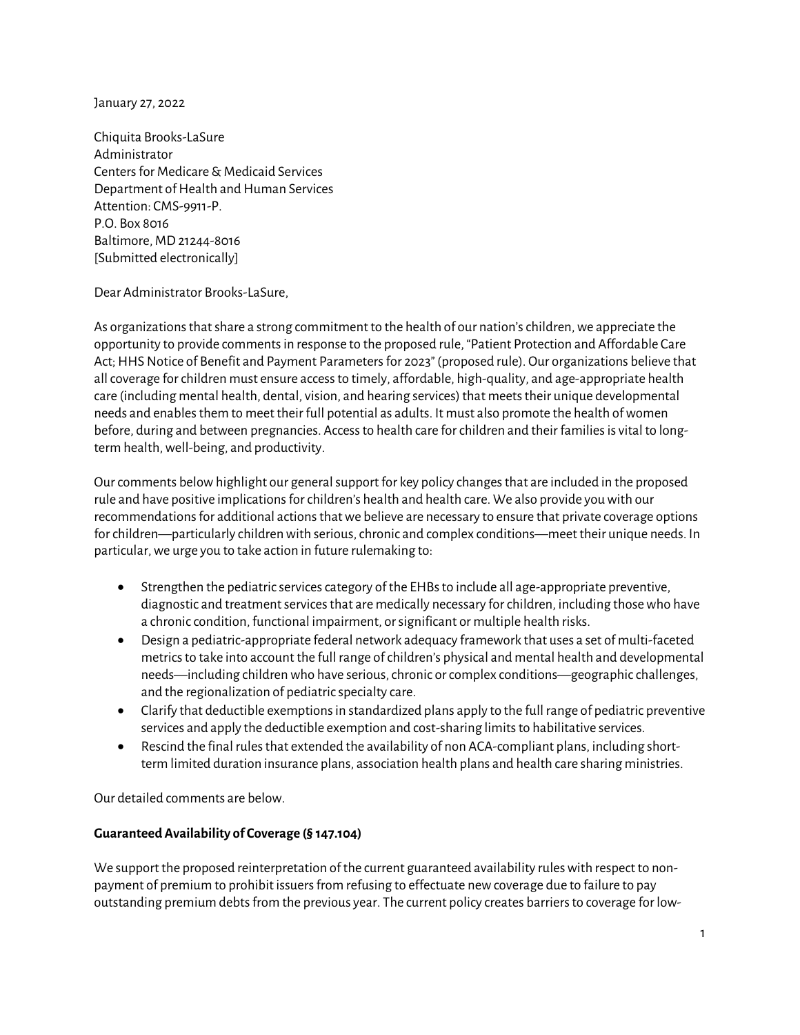January 27, 2022

Chiquita Brooks-LaSure Administrator Centers for Medicare & Medicaid Services Department of Health and Human Services Attention: CMS-9911-P. P.O. Box 8016 Baltimore, MD 21244-8016 [Submitted electronically]

Dear Administrator Brooks-LaSure,

As organizations that share a strong commitment to the health of our nation's children, we appreciate the opportunity to provide comments in response to the proposed rule, "Patient Protection and Affordable Care Act; HHS Notice of Benefit and Payment Parameters for 2023" (proposed rule). Our organizations believe that all coverage for children must ensure access to timely, affordable, high-quality, and age-appropriate health care (including mental health, dental, vision, and hearing services) that meets their unique developmental needs and enables them to meet their full potential as adults. It must also promote the health of women before, during and between pregnancies. Access to health care for children and their families is vital to longterm health, well-being, and productivity.

Our comments below highlight our general support for key policy changes that are included in the proposed rule and have positive implications for children's health and health care. We also provide you with our recommendations for additional actions that we believe are necessary to ensure that private coverage options for children—particularly children with serious, chronic and complex conditions—meet their unique needs. In particular, we urge you to take action in future rulemaking to:

- Strengthen the pediatric services category of the EHBs to include all age-appropriate preventive, diagnostic and treatment services that are medically necessary for children, including those who have a chronic condition, functional impairment, or significant or multiple health risks.
- Design a pediatric-appropriate federal network adequacy framework that uses a set of multi-faceted metrics to take into account the full range of children's physical and mental health and developmental needs—including children who have serious, chronic or complex conditions—geographic challenges, and the regionalization of pediatric specialty care.
- Clarify that deductible exemptions in standardized plans apply to the full range of pediatric preventive services and apply the deductible exemption and cost-sharing limits to habilitative services.
- Rescind the final rules that extended the availability of non ACA-compliant plans, including shortterm limited duration insurance plans, association health plans and health care sharing ministries.

Our detailed comments are below.

## **Guaranteed Availability of Coverage (§ 147.104)**

We support the proposed reinterpretation of the current guaranteed availability rules with respect to nonpayment of premium to prohibit issuers from refusing to effectuate new coverage due to failure to pay outstanding premium debts from the previous year. The current policy creates barriers to coverage for low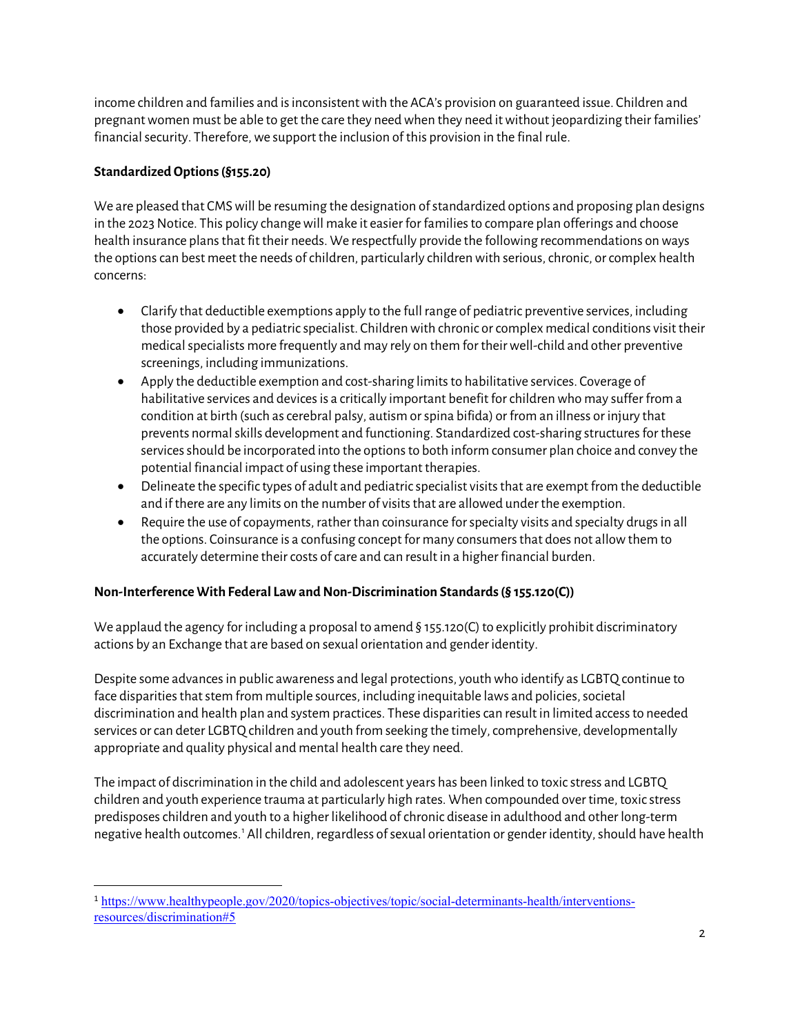income children and families and is inconsistent with the ACA's provision on guaranteed issue. Children and pregnant women must be able to get the care they need when they need it without jeopardizing their families' financial security. Therefore, we support the inclusion of this provision in the final rule.

# **Standardized Options (§155.20)**

We are pleased that CMS will be resuming the designation of standardized options and proposing plan designs in the 2023 Notice. This policy change will make it easier for familiesto compare plan offerings and choose health insurance plans that fit their needs. We respectfully provide the following recommendations on ways the options can best meet the needs of children, particularly children with serious, chronic, or complex health concerns:

- Clarify that deductible exemptions apply to the full range of pediatric preventive services, including those provided by a pediatric specialist. Children with chronic or complex medical conditions visit their medical specialists more frequently and may rely on them for their well-child and other preventive screenings, including immunizations.
- Apply the deductible exemption and cost-sharing limits to habilitative services. Coverage of habilitative services and devices is a critically important benefit for children who may suffer from a condition at birth (such as cerebral palsy, autism or spina bifida) or from an illness or injury that prevents normal skills development and functioning. Standardized cost-sharing structures for these services should be incorporated into the options to both inform consumer plan choice and convey the potential financial impact of using these important therapies.
- Delineate the specific types of adult and pediatric specialist visits that are exempt from the deductible and if there are any limits on the number of visits that are allowed under the exemption.
- Require the use of copayments, rather than coinsurance for specialty visits and specialty drugs in all the options. Coinsurance is a confusing concept for many consumers that does not allow them to accurately determine their costs of care and can result in a higher financial burden.

## **Non-Interference With Federal Law and Non-Discrimination Standards (§ 155.120(C))**

We applaud the agency for including a proposal to amend § 155.120(C) to explicitly prohibit discriminatory actions by an Exchange that are based on sexual orientation and gender identity.

Despite some advances in public awareness and legal protections, youth who identify as LGBTQ continue to face disparities that stem from multiple sources, including inequitable laws and policies, societal discrimination and health plan and system practices. These disparities can result in limited access to needed services or can deter LGBTQ children and youth from seeking the timely, comprehensive, developmentally appropriate and quality physical and mental health care they need.

The impact of discrimination in the child and adolescent years has been linked to toxic stress and LGBTQ children and youth experience trauma at particularly high rates. When compounded over time, toxic stress predisposes children and youth to a higher likelihood of chronic disease in adulthood and other long-term negative health outcomes.<sup>[1](#page-1-0)</sup> All children, regardless of sexual orientation or gender identity, should have health

<span id="page-1-0"></span><sup>1</sup> [https://www.healthypeople.gov/2020/topics-objectives/topic/social-determinants-health/interventions](https://www.healthypeople.gov/2020/topics-objectives/topic/social-determinants-health/interventions-resources/discrimination#5)[resources/discrimination#5](https://www.healthypeople.gov/2020/topics-objectives/topic/social-determinants-health/interventions-resources/discrimination#5)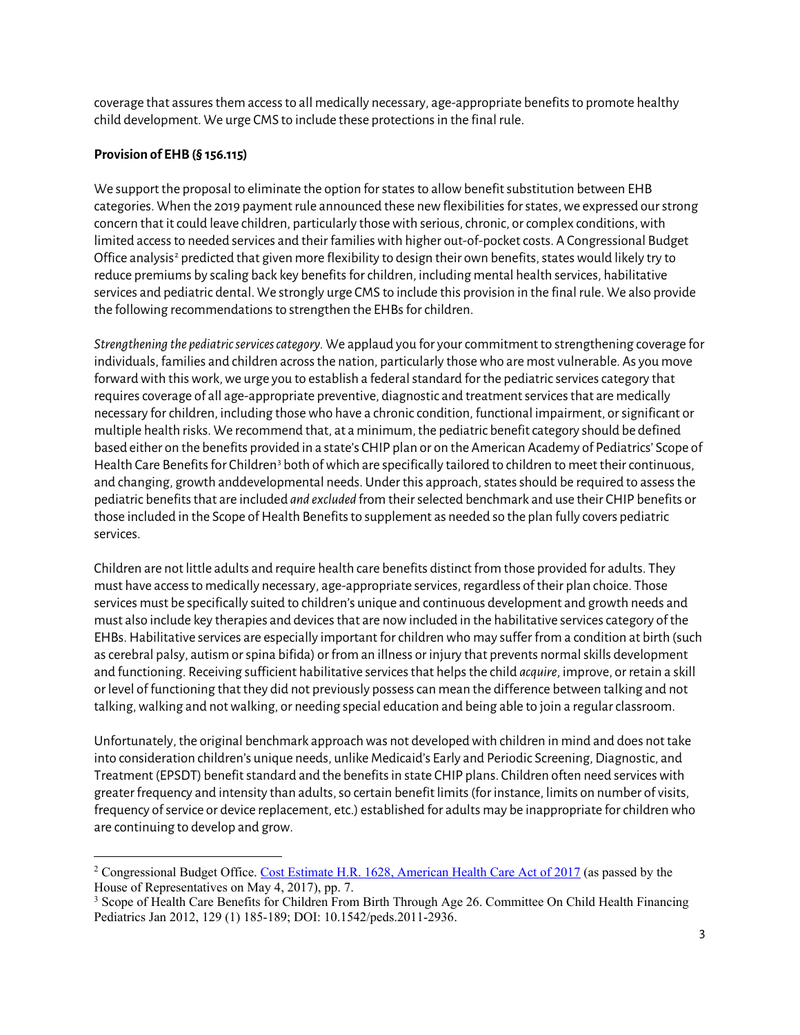coverage that assures them access to all medically necessary, age-appropriate benefits to promote healthy child development. We urge CMS to include these protections in the final rule.

### **Provision of EHB (§ 156.115)**

We support the proposal to eliminate the option for states to allow benefit substitution between EHB categories. When the 2019 payment rule announced these new flexibilities for states, we expressed our strong concern that it could leave children, particularly those with serious, chronic, or complex conditions, with limited access to needed services and their families with higher out-of-pocket costs. A Congressional Budget Office analysis<sup>[2](#page-2-0)</sup> predicted that given more flexibility to design their own benefits, states would likely try to reduce premiums by scaling back key benefits for children, including mental health services, habilitative services and pediatric dental. We strongly urge CMS to include this provision in the final rule. We also provide the following recommendations to strengthen the EHBs for children.

*Strengthening the pediatric services category.* We applaud you for your commitment to strengthening coverage for individuals, families and children across the nation, particularly those who are most vulnerable. As you move forward with this work, we urge you to establish a federal standard for the pediatric services category that requires coverage of all age-appropriate preventive, diagnostic and treatment services that are medically necessary for children, including those who have a chronic condition, functional impairment, or significant or multiple health risks. We recommend that, at a minimum, the pediatric benefit category should be defined based either on the benefits provided in a state's CHIP plan or on the American Academy of Pediatrics' Scope of Health Care Benefits for Children<sup>[3](#page-2-1)</sup> both of which are specifically tailored to children to meet their continuous, and changing, growth anddevelopmental needs. Under this approach, states should be required to assess the pediatric benefits that are included *and excluded* from their selected benchmark and use their CHIP benefits or those included in the Scope of Health Benefits to supplement as needed so the plan fully covers pediatric services.

Children are not little adults and require health care benefits distinct from those provided for adults. They must have access to medically necessary, age-appropriate services, regardless of their plan choice. Those services must be specifically suited to children's unique and continuous development and growth needs and must also include key therapies and devices that are now included in the habilitative services category of the EHBs. Habilitative services are especially important for children who may suffer from a condition at birth (such as cerebral palsy, autism or spina bifida) or from an illness or injury that prevents normal skills development and functioning. Receiving sufficient habilitative services that helps the child *acquire*, improve, or retain a skill or level of functioning that they did not previously possess can mean the difference between talking and not talking, walking and not walking, or needing special education and being able to join a regular classroom.

Unfortunately, the original benchmark approach was not developed with children in mind and does not take into consideration children's unique needs, unlike Medicaid's Early and Periodic Screening, Diagnostic, and Treatment (EPSDT) benefit standard and the benefits in state CHIP plans. Children often need services with greater frequency and intensity than adults, so certain benefit limits (for instance, limits on number of visits, frequency of service or device replacement, etc.) established for adults may be inappropriate for children who are continuing to develop and grow.

<span id="page-2-0"></span><sup>&</sup>lt;sup>2</sup> Congressional Budget Office. [Cost Estimate H.R. 1628, American Health Care Act of 2017](https://www.cbo.gov/system/files/115th-congress-2017-2018/costestimate/hr1628aspassed.pdf) (as passed by the House of Representatives on May 4, 2017), pp. 7.

<span id="page-2-1"></span><sup>3</sup> Scope of Health Care Benefits for Children From Birth Through Age 26. Committee On Child Health Financing Pediatrics Jan 2012, 129 (1) 185-189; DOI: 10.1542/peds.2011-2936.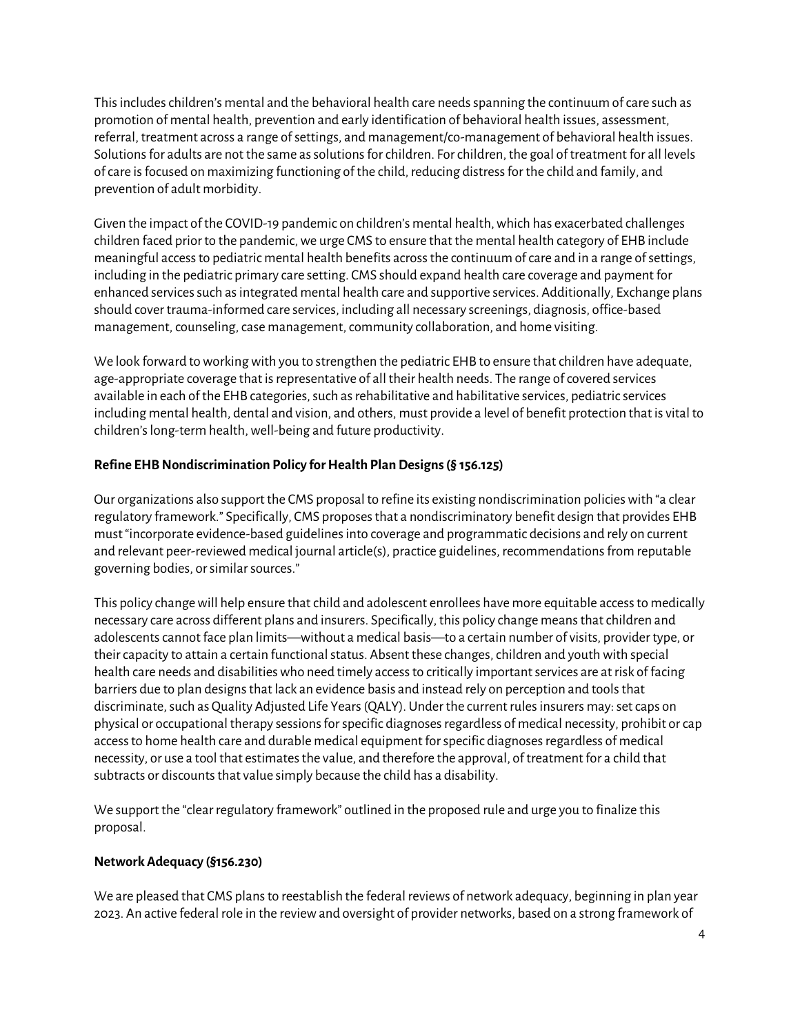This includes children's mental and the behavioral health care needsspanning the continuum of care such as promotion of mental health, prevention and early identification of behavioral health issues, assessment, referral, treatment across a range of settings, and management/co-management of behavioral health issues. Solutions for adults are not the same as solutions for children. For children, the goal of treatment for all levels of care isfocused on maximizing functioning of the child, reducing distress for the child and family, and prevention of adult morbidity.

Given the impact of the COVID-19 pandemic on children's mental health, which has exacerbated challenges children faced prior to the pandemic, we urge CMS to ensure that the mental health category of EHB include meaningful access to pediatric mental health benefits acrossthe continuum of care and in a range of settings, including in the pediatric primary care setting. CMS should expand health care coverage and payment for enhanced services such as integrated mental health care and supportive services. Additionally, Exchange plans should cover trauma-informed care services, including all necessary screenings, diagnosis, office-based management, counseling, case management, community collaboration, and home visiting.

We look forward to working with you to strengthen the pediatric EHB to ensure that children have adequate, age-appropriate coverage that is representative of all their health needs. The range of covered services available in each of the EHB categories, such as rehabilitative and habilitative services, pediatric services including mental health, dental and vision, and others, must provide a level of benefit protection that is vital to children's long-term health, well-being and future productivity.

## **Refine EHB Nondiscrimination Policy for Health Plan Designs (§ 156.125)**

Our organizations also support the CMS proposal to refine its existing nondiscrimination policies with "a clear regulatory framework." Specifically, CMS proposesthat a nondiscriminatory benefit design that provides EHB must "incorporate evidence-based guidelines into coverage and programmatic decisions and rely on current and relevant peer-reviewed medical journal article(s), practice guidelines, recommendations from reputable governing bodies, or similar sources."

This policy change will help ensure that child and adolescent enrollees have more equitable access to medically necessary care across different plans and insurers. Specifically, this policy change meansthat children and adolescents cannot face plan limits—without a medical basis—to a certain number of visits, provider type, or their capacity to attain a certain functional status. Absent these changes, children and youth with special health care needs and disabilitieswho need timely access to critically important services are at risk of facing barriers due to plan designs that lack an evidence basis and instead rely on perception and tools that discriminate, such as Quality Adjusted Life Years (QALY). Under the current rules insurers may: set caps on physical or occupational therapy sessions for specific diagnoses regardless of medical necessity, prohibit or cap access to home health care and durable medical equipment for specific diagnoses regardless of medical necessity, or use a tool that estimates the value, and therefore the approval, of treatment for a child that subtracts or discounts that value simply because the child has a disability.

We support the "clear regulatory framework" outlined in the proposed rule and urge you to finalize this proposal.

#### **Network Adequacy (§156.230)**

We are pleased that CMS plans to reestablish the federal reviews of network adequacy, beginning in plan year 2023. An active federal role in the review and oversight of provider networks, based on a strong framework of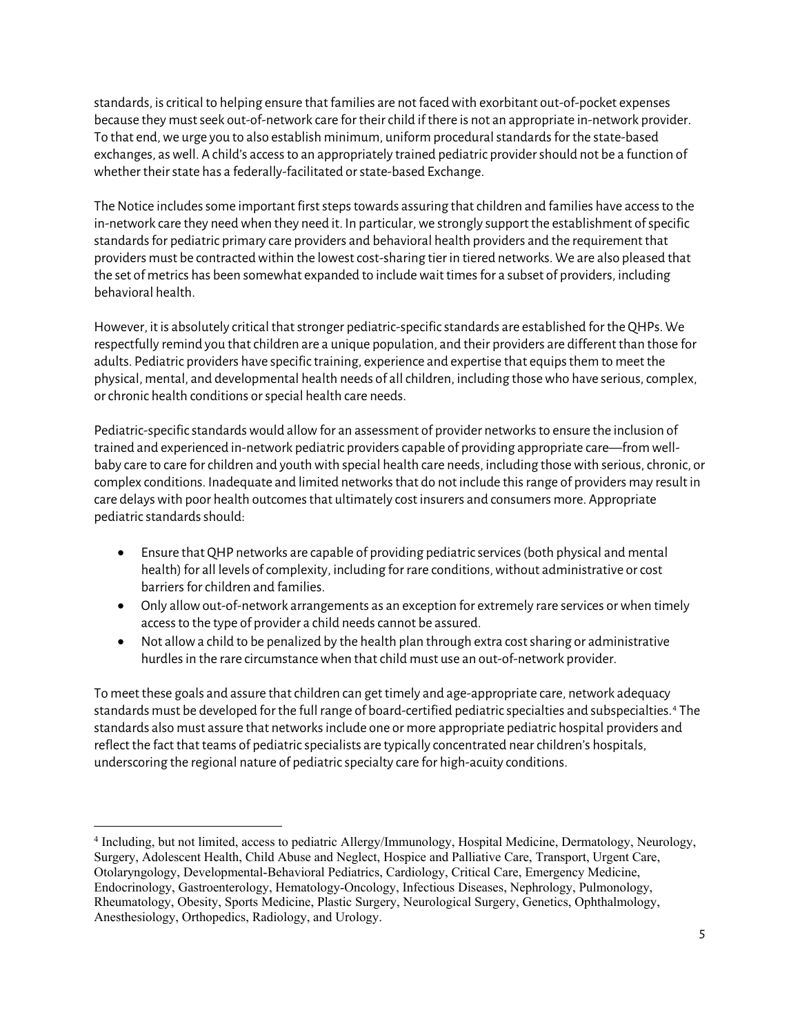standards, is critical to helping ensure that families are not faced with exorbitant out-of-pocket expenses because they must seek out-of-network care for their child if there is not an appropriate in-network provider. To that end, we urge you to also establish minimum, uniform procedural standards for the state-based exchanges, as well. A child's access to an appropriately trained pediatric provider should not be a function of whether their state has a federally-facilitated or state-based Exchange.

The Notice includes some important first steps towards assuring that children and families have access to the in-network care they need when they need it. In particular, we strongly support the establishment of specific standards for pediatric primary care providers and behavioral health providers and the requirement that providers must be contracted within the lowest cost-sharing tier in tiered networks. We are also pleased that the set of metrics has been somewhat expanded to include wait times for a subset of providers, including behavioral health.

However, it is absolutely critical that stronger pediatric-specific standards are established for the QHPs. We respectfully remind you that children are a unique population, and their providers are different than those for adults. Pediatric providers have specific training, experience and expertise that equips them to meet the physical, mental, and developmental health needs of all children, including those who have serious, complex, or chronic health conditions or special health care needs.

Pediatric-specific standards would allow for an assessment of provider networks to ensure the inclusion of trained and experienced in-network pediatric providers capable of providing appropriate care—from wellbaby care to care for children and youth with special health care needs, including those with serious, chronic, or complex conditions. Inadequate and limited networks that do not include this range of providers may result in care delays with poor health outcomes that ultimately cost insurers and consumers more. Appropriate pediatric standards should:

- Ensure that QHP networks are capable of providing pediatric services (both physical and mental health) for all levels of complexity, including for rare conditions, without administrative or cost barriers for children and families.
- Only allow out-of-network arrangements as an exception for extremely rare services or when timely access to the type of provider a child needs cannot be assured.
- Not allow a child to be penalized by the health plan through extra cost sharing or administrative hurdles in the rare circumstance when that child must use an out-of-network provider.

To meet these goals and assure that children can get timely and age-appropriate care, network adequacy standards must be developed for the full range of board-certified pediatric specialties and subspecialties. [4](#page-4-0) The standards also must assure that networks include one or more appropriate pediatric hospital providers and reflect the fact that teams of pediatric specialists are typically concentrated near children's hospitals, underscoring the regional nature of pediatric specialty care for high-acuity conditions.

<span id="page-4-0"></span><sup>4</sup> Including, but not limited, access to pediatric Allergy/Immunology, Hospital Medicine, Dermatology, Neurology, Surgery, Adolescent Health, Child Abuse and Neglect, Hospice and Palliative Care, Transport, Urgent Care, Otolaryngology, Developmental-Behavioral Pediatrics, Cardiology, Critical Care, Emergency Medicine, Endocrinology, Gastroenterology, Hematology-Oncology, Infectious Diseases, Nephrology, Pulmonology, Rheumatology, Obesity, Sports Medicine, Plastic Surgery, Neurological Surgery, Genetics, Ophthalmology, Anesthesiology, Orthopedics, Radiology, and Urology.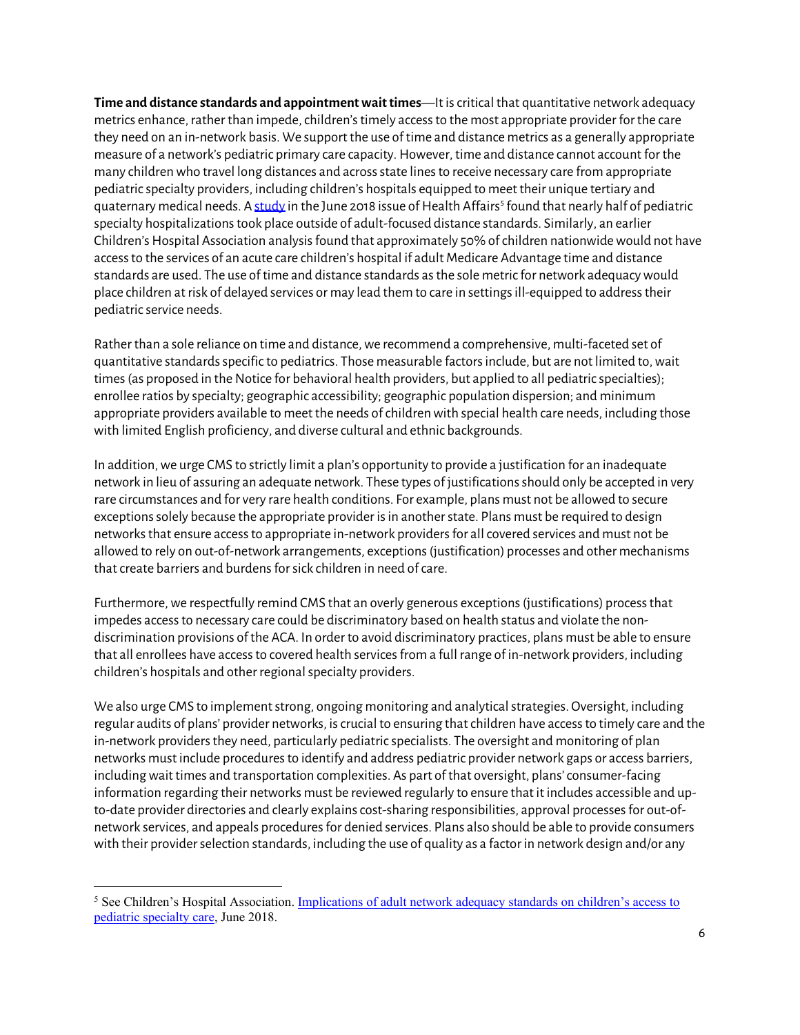**Time and distance standards and appointment wait times**—It is critical that quantitative network adequacy metrics enhance, rather than impede, children's timely access to the most appropriate provider for the care they need on an in-network basis. We support the use of time and distance metrics as a generally appropriate measure of a network's pediatric primary care capacity. However, time and distance cannot account for the many children who travel long distances and across state lines to receive necessary care from appropriate pediatric specialty providers, including children's hospitals equipped to meet their unique tertiary and quaternary medical needs. A [study](https://www.childrenshospitals.org/Issues-and-Advocacy/Private-Coverage-and-Exchanges/Issue-Briefs-and-Reports/2014/Network-Adequacy-Measures-and-Their-Potential-Impact-on-Childrens-Access-to-a-Childrens-Hospital) in the June 2018 issue of Health Affairs<sup>[5](#page-5-0)</sup> found that nearly half of pediatric specialty hospitalizations took place outside of adult-focused distance standards. Similarly, an earlier Children's Hospital Association analysis found that approximately 50% of children nationwide would not have access to the services of an acute care children's hospital if adult Medicare Advantage time and distance standards are used. The use of time and distance standards as the sole metric for network adequacy would place children at risk of delayed services or may lead them to care in settings ill-equipped to address their pediatric service needs.

Rather than a sole reliance on time and distance, we recommend a comprehensive, multi-faceted set of quantitative standards specific to pediatrics. Those measurable factors include, but are not limited to, wait times (as proposed in the Notice for behavioral health providers, but applied to all pediatric specialties); enrollee ratios by specialty; geographic accessibility; geographic population dispersion; and minimum appropriate providers available to meet the needs of children with special health care needs, including those with limited English proficiency, and diverse cultural and ethnic backgrounds.

In addition, we urge CMS to strictly limit a plan's opportunity to provide a justification for an inadequate network in lieu of assuring an adequate network. These types of justifications should only be accepted in very rare circumstances and for very rare health conditions. For example, plans must not be allowed to secure exceptions solely because the appropriate provider is in another state. Plans must be required to design networks that ensure access to appropriate in-network providers for all covered services and must not be allowed to rely on out-of-network arrangements, exceptions (justification) processes and other mechanisms that create barriers and burdens for sick children in need of care.

Furthermore, we respectfully remind CMS that an overly generous exceptions (justifications) process that impedes access to necessary care could be discriminatory based on health status and violate the nondiscrimination provisions of the ACA. In order to avoid discriminatory practices, plans must be able to ensure that all enrollees have access to covered health services from a full range of in-network providers, including children's hospitals and other regional specialty providers.

We also urge CMS to implement strong, ongoing monitoring and analytical strategies. Oversight, including regular audits of plans' provider networks, is crucial to ensuring that children have access to timely care and the in-network providers they need, particularly pediatric specialists. The oversight and monitoring of plan networks must include procedures to identify and address pediatric provider network gaps or access barriers, including wait times and transportation complexities. As part of that oversight, plans' consumer-facing information regarding their networks must be reviewed regularly to ensure that it includes accessible and upto-date provider directories and clearly explains cost-sharing responsibilities, approval processes for out-ofnetwork services, and appeals procedures for denied services. Plans also should be able to provide consumers with their provider selection standards, including the use of quality as a factor in network design and/or any

<span id="page-5-0"></span><sup>5</sup> See Children's Hospital Association. [Implications of adult network adequacy standards on children's access to](https://www.childrenshospitals.org/Issues-and-Advocacy/Private-Coverage-and-Exchanges/Issue-Briefs-and-Reports/2014/Network-Adequacy-Measures-and-Their-Potential-Impact-on-Childrens-Access-to-a-Childrens-Hospital)  [pediatric specialty care,](https://www.childrenshospitals.org/Issues-and-Advocacy/Private-Coverage-and-Exchanges/Issue-Briefs-and-Reports/2014/Network-Adequacy-Measures-and-Their-Potential-Impact-on-Childrens-Access-to-a-Childrens-Hospital) June 2018.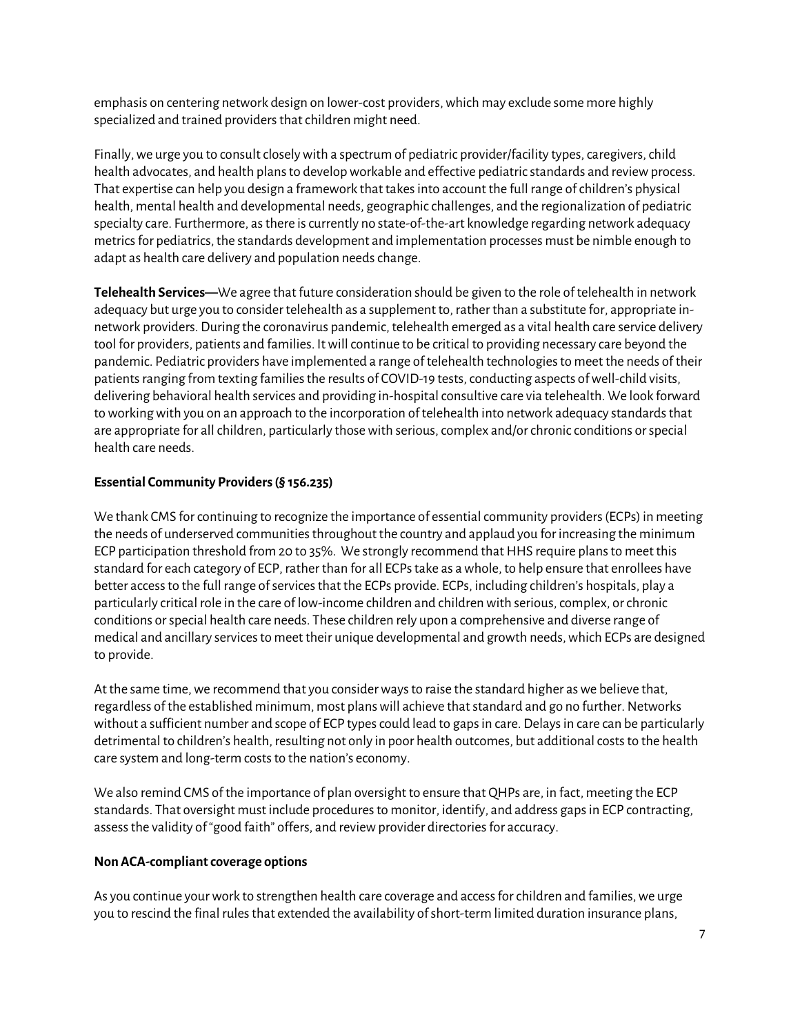emphasis on centering network design on lower-cost providers, which may exclude some more highly specialized and trained providers that children might need.

Finally, we urge you to consult closely with a spectrum of pediatric provider/facility types, caregivers, child health advocates, and health plans to develop workable and effective pediatric standards and review process. That expertise can help you design a framework that takes into account the full range of children's physical health, mental health and developmental needs, geographic challenges, and the regionalization of pediatric specialty care. Furthermore, as there is currently no state-of-the-art knowledge regarding network adequacy metrics for pediatrics, the standards development and implementation processes must be nimble enough to adapt as health care delivery and population needs change.

**Telehealth Services—**We agree that future consideration should be given to the role of telehealth in network adequacy but urge you to consider telehealth as a supplement to, rather than a substitute for, appropriate innetwork providers. During the coronavirus pandemic, telehealth emerged as a vital health care service delivery tool for providers, patients and families. It will continue to be critical to providing necessary care beyond the pandemic. Pediatric providers have implemented a range of telehealth technologies to meet the needs of their patients ranging from texting families the results of COVID-19 tests, conducting aspects of well-child visits, delivering behavioral health services and providing in-hospital consultive care via telehealth. We look forward to working with you on an approach to the incorporation of telehealth into network adequacy standards that are appropriate for all children, particularly those with serious, complex and/or chronic conditions or special health care needs.

#### **Essential Community Providers (§ 156.235)**

We thank CMS for continuing to recognize the importance of essential community providers (ECPs) in meeting the needs of underserved communities throughout the country and applaud you for increasing the minimum ECP participation threshold from 20 to 35%. We strongly recommend that HHS require plans to meet this standard for each category of ECP, rather than for all ECPs take as a whole, to help ensure that enrollees have better access to the full range of servicesthat the ECPs provide. ECPs, including children's hospitals, play a particularly critical role in the care of low-income children and children with serious, complex, or chronic conditions or special health care needs. These children rely upon a comprehensive and diverse range of medical and ancillary services to meet their unique developmental and growth needs, which ECPs are designed to provide.

At the same time, we recommend that you consider ways to raise the standard higher as we believe that, regardless of the established minimum, most planswill achieve that standard and go no further. Networks without a sufficient number and scope of ECP types could lead to gaps in care. Delays in care can be particularly detrimental to children's health, resulting not only in poor health outcomes, but additional costs to the health care system and long-term costs to the nation's economy.

We also remind CMS of the importance of plan oversight to ensure that QHPs are, in fact, meeting the ECP standards. That oversight must include procedures to monitor, identify, and address gaps in ECP contracting, assess the validity of "good faith" offers, and review provider directories for accuracy.

#### **Non ACA-compliant coverage options**

As you continue your work to strengthen health care coverage and access for children and families, we urge you to rescind the final rules that extended the availability of short-term limited duration insurance plans,